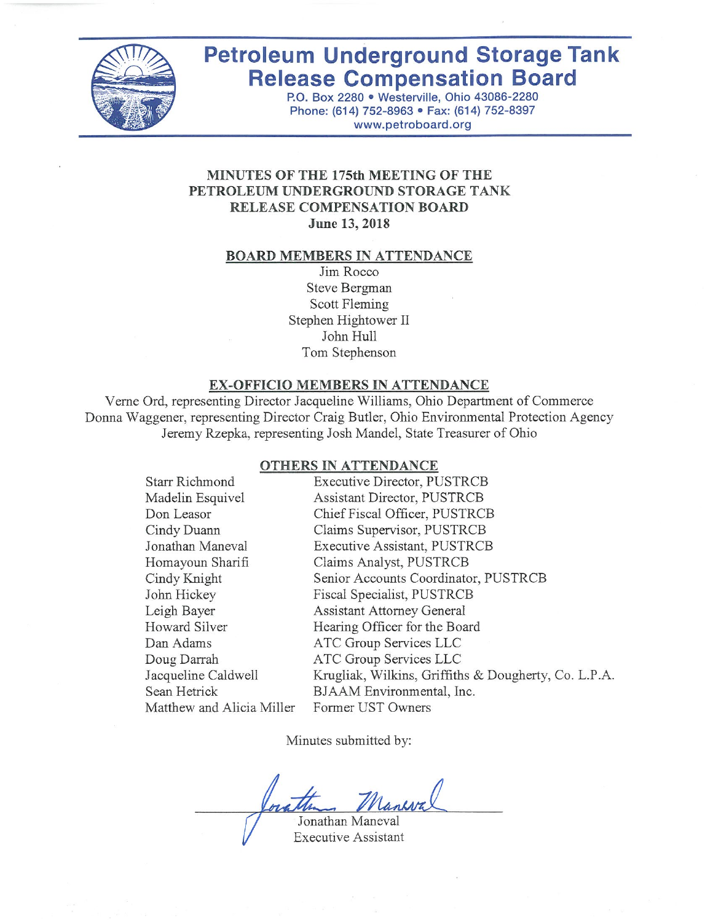

# **Petroleum Underground Storage Tank Release Compensation Board**

P.O. Box 2280 . Westerville, Ohio 43086-2280 Phone: (614) 752-8963 · Fax: (614) 752-8397 www.petroboard.org

## MINUTES OF THE 175th MEETING OF THE PETROLEUM UNDERGROUND STORAGE TANK RELEASE COMPENSATION BOARD June 13, 2018

#### **BOARD MEMBERS IN ATTENDANCE**

Jim Rocco Steve Bergman Scott Fleming Stephen Hightower II John Hull Tom Stephenson

#### EX-OFFICIO MEMBERS IN ATTENDANCE

Verne Ord, representing Director Jacqueline Williams, Ohio Department of Commerce Donna Waggener, representing Director Craig Butler, Ohio Environmental Protection Agency Jeremy Rzepka, representing Josh Mandel, State Treasurer of Ohio

#### **OTHERS IN ATTENDANCE**

| Starr Richmond            | Executive Director, PUSTRCB                          |
|---------------------------|------------------------------------------------------|
| Madelin Esquivel          | Assistant Director, PUSTRCB                          |
| Don Leasor                | Chief Fiscal Officer, PUSTRCB                        |
| Cindy Duann               | Claims Supervisor, PUSTRCB                           |
| Jonathan Maneval          | Executive Assistant, PUSTRCB                         |
| Homayoun Sharifi          | Claims Analyst, PUSTRCB                              |
| Cindy Knight              | Senior Accounts Coordinator, PUSTRCB                 |
| John Hickey               | Fiscal Specialist, PUSTRCB                           |
| Leigh Bayer               | <b>Assistant Attorney General</b>                    |
| Howard Silver             | Hearing Officer for the Board                        |
| Dan Adams                 | ATC Group Services LLC                               |
| Doug Darrah               | ATC Group Services LLC                               |
| Jacqueline Caldwell       | Krugliak, Wilkins, Griffiths & Dougherty, Co. L.P.A. |
| Sean Hetrick              | BJAAM Environmental, Inc.                            |
| Matthew and Alicia Miller | Former UST Owners                                    |

Minutes submitted by:

Jonathan Maneval

**Executive Assistant**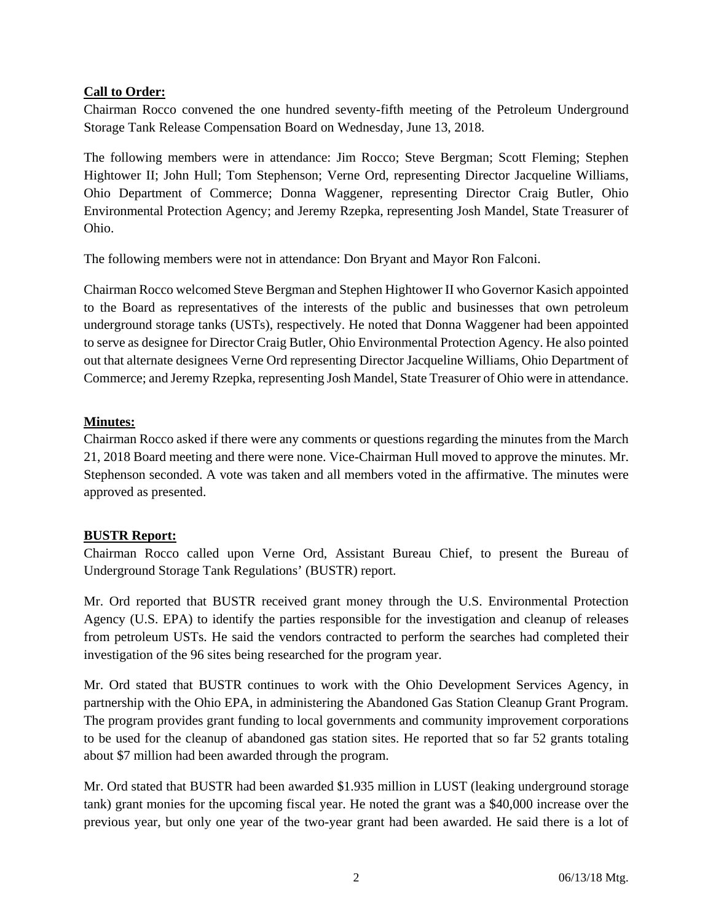## **Call to Order:**

Chairman Rocco convened the one hundred seventy-fifth meeting of the Petroleum Underground Storage Tank Release Compensation Board on Wednesday, June 13, 2018.

The following members were in attendance: Jim Rocco; Steve Bergman; Scott Fleming; Stephen Hightower II; John Hull; Tom Stephenson; Verne Ord, representing Director Jacqueline Williams, Ohio Department of Commerce; Donna Waggener, representing Director Craig Butler, Ohio Environmental Protection Agency; and Jeremy Rzepka, representing Josh Mandel, State Treasurer of Ohio.

The following members were not in attendance: Don Bryant and Mayor Ron Falconi.

Chairman Rocco welcomed Steve Bergman and Stephen Hightower II who Governor Kasich appointed to the Board as representatives of the interests of the public and businesses that own petroleum underground storage tanks (USTs), respectively. He noted that Donna Waggener had been appointed to serve as designee for Director Craig Butler, Ohio Environmental Protection Agency. He also pointed out that alternate designees Verne Ord representing Director Jacqueline Williams, Ohio Department of Commerce; and Jeremy Rzepka, representing Josh Mandel, State Treasurer of Ohio were in attendance.

## **Minutes:**

Chairman Rocco asked if there were any comments or questions regarding the minutes from the March 21, 2018 Board meeting and there were none. Vice-Chairman Hull moved to approve the minutes. Mr. Stephenson seconded. A vote was taken and all members voted in the affirmative. The minutes were approved as presented.

#### **BUSTR Report:**

Chairman Rocco called upon Verne Ord, Assistant Bureau Chief, to present the Bureau of Underground Storage Tank Regulations' (BUSTR) report.

Mr. Ord reported that BUSTR received grant money through the U.S. Environmental Protection Agency (U.S. EPA) to identify the parties responsible for the investigation and cleanup of releases from petroleum USTs. He said the vendors contracted to perform the searches had completed their investigation of the 96 sites being researched for the program year.

Mr. Ord stated that BUSTR continues to work with the Ohio Development Services Agency, in partnership with the Ohio EPA, in administering the Abandoned Gas Station Cleanup Grant Program. The program provides grant funding to local governments and community improvement corporations to be used for the cleanup of abandoned gas station sites. He reported that so far 52 grants totaling about \$7 million had been awarded through the program.

Mr. Ord stated that BUSTR had been awarded \$1.935 million in LUST (leaking underground storage tank) grant monies for the upcoming fiscal year. He noted the grant was a \$40,000 increase over the previous year, but only one year of the two-year grant had been awarded. He said there is a lot of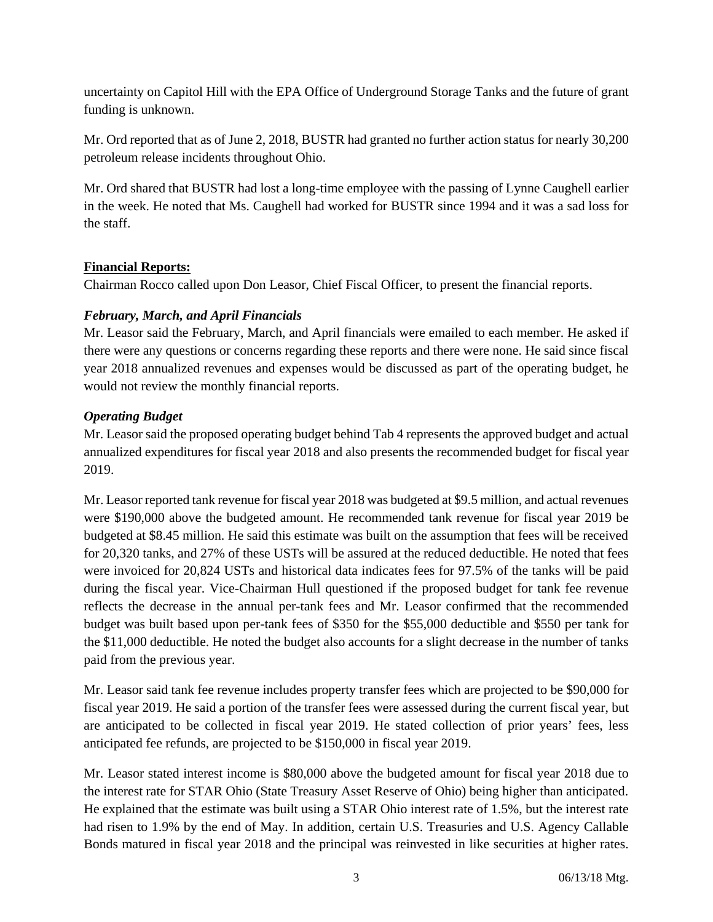uncertainty on Capitol Hill with the EPA Office of Underground Storage Tanks and the future of grant funding is unknown.

Mr. Ord reported that as of June 2, 2018, BUSTR had granted no further action status for nearly 30,200 petroleum release incidents throughout Ohio.

Mr. Ord shared that BUSTR had lost a long-time employee with the passing of Lynne Caughell earlier in the week. He noted that Ms. Caughell had worked for BUSTR since 1994 and it was a sad loss for the staff.

## **Financial Reports:**

Chairman Rocco called upon Don Leasor, Chief Fiscal Officer, to present the financial reports.

## *February, March, and April Financials*

Mr. Leasor said the February, March, and April financials were emailed to each member. He asked if there were any questions or concerns regarding these reports and there were none. He said since fiscal year 2018 annualized revenues and expenses would be discussed as part of the operating budget, he would not review the monthly financial reports.

## *Operating Budget*

Mr. Leasor said the proposed operating budget behind Tab 4 represents the approved budget and actual annualized expenditures for fiscal year 2018 and also presents the recommended budget for fiscal year 2019.

Mr. Leasor reported tank revenue for fiscal year 2018 was budgeted at \$9.5 million, and actual revenues were \$190,000 above the budgeted amount. He recommended tank revenue for fiscal year 2019 be budgeted at \$8.45 million. He said this estimate was built on the assumption that fees will be received for 20,320 tanks, and 27% of these USTs will be assured at the reduced deductible. He noted that fees were invoiced for 20,824 USTs and historical data indicates fees for 97.5% of the tanks will be paid during the fiscal year. Vice-Chairman Hull questioned if the proposed budget for tank fee revenue reflects the decrease in the annual per-tank fees and Mr. Leasor confirmed that the recommended budget was built based upon per-tank fees of \$350 for the \$55,000 deductible and \$550 per tank for the \$11,000 deductible. He noted the budget also accounts for a slight decrease in the number of tanks paid from the previous year.

Mr. Leasor said tank fee revenue includes property transfer fees which are projected to be \$90,000 for fiscal year 2019. He said a portion of the transfer fees were assessed during the current fiscal year, but are anticipated to be collected in fiscal year 2019. He stated collection of prior years' fees, less anticipated fee refunds, are projected to be \$150,000 in fiscal year 2019.

Mr. Leasor stated interest income is \$80,000 above the budgeted amount for fiscal year 2018 due to the interest rate for STAR Ohio (State Treasury Asset Reserve of Ohio) being higher than anticipated. He explained that the estimate was built using a STAR Ohio interest rate of 1.5%, but the interest rate had risen to 1.9% by the end of May. In addition, certain U.S. Treasuries and U.S. Agency Callable Bonds matured in fiscal year 2018 and the principal was reinvested in like securities at higher rates.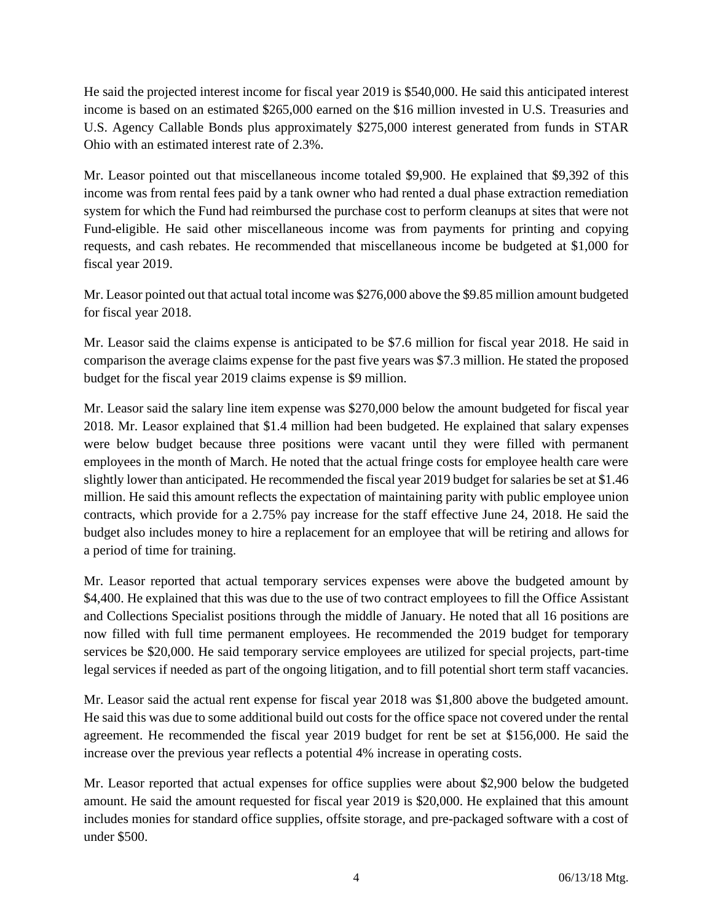He said the projected interest income for fiscal year 2019 is \$540,000. He said this anticipated interest income is based on an estimated \$265,000 earned on the \$16 million invested in U.S. Treasuries and U.S. Agency Callable Bonds plus approximately \$275,000 interest generated from funds in STAR Ohio with an estimated interest rate of 2.3%.

Mr. Leasor pointed out that miscellaneous income totaled \$9,900. He explained that \$9,392 of this income was from rental fees paid by a tank owner who had rented a dual phase extraction remediation system for which the Fund had reimbursed the purchase cost to perform cleanups at sites that were not Fund-eligible. He said other miscellaneous income was from payments for printing and copying requests, and cash rebates. He recommended that miscellaneous income be budgeted at \$1,000 for fiscal year 2019.

Mr. Leasor pointed out that actual total income was \$276,000 above the \$9.85 million amount budgeted for fiscal year 2018.

Mr. Leasor said the claims expense is anticipated to be \$7.6 million for fiscal year 2018. He said in comparison the average claims expense for the past five years was \$7.3 million. He stated the proposed budget for the fiscal year 2019 claims expense is \$9 million.

Mr. Leasor said the salary line item expense was \$270,000 below the amount budgeted for fiscal year 2018. Mr. Leasor explained that \$1.4 million had been budgeted. He explained that salary expenses were below budget because three positions were vacant until they were filled with permanent employees in the month of March. He noted that the actual fringe costs for employee health care were slightly lower than anticipated. He recommended the fiscal year 2019 budget for salaries be set at \$1.46 million. He said this amount reflects the expectation of maintaining parity with public employee union contracts, which provide for a 2.75% pay increase for the staff effective June 24, 2018. He said the budget also includes money to hire a replacement for an employee that will be retiring and allows for a period of time for training.

Mr. Leasor reported that actual temporary services expenses were above the budgeted amount by \$4,400. He explained that this was due to the use of two contract employees to fill the Office Assistant and Collections Specialist positions through the middle of January. He noted that all 16 positions are now filled with full time permanent employees. He recommended the 2019 budget for temporary services be \$20,000. He said temporary service employees are utilized for special projects, part-time legal services if needed as part of the ongoing litigation, and to fill potential short term staff vacancies.

Mr. Leasor said the actual rent expense for fiscal year 2018 was \$1,800 above the budgeted amount. He said this was due to some additional build out costs for the office space not covered under the rental agreement. He recommended the fiscal year 2019 budget for rent be set at \$156,000. He said the increase over the previous year reflects a potential 4% increase in operating costs.

Mr. Leasor reported that actual expenses for office supplies were about \$2,900 below the budgeted amount. He said the amount requested for fiscal year 2019 is \$20,000. He explained that this amount includes monies for standard office supplies, offsite storage, and pre-packaged software with a cost of under \$500.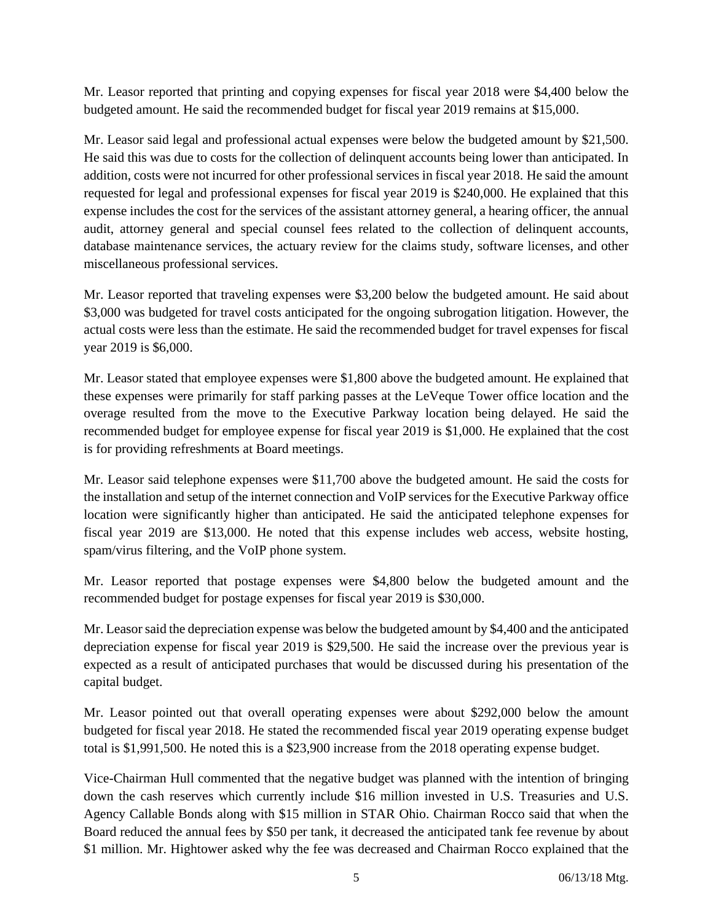Mr. Leasor reported that printing and copying expenses for fiscal year 2018 were \$4,400 below the budgeted amount. He said the recommended budget for fiscal year 2019 remains at \$15,000.

Mr. Leasor said legal and professional actual expenses were below the budgeted amount by \$21,500. He said this was due to costs for the collection of delinquent accounts being lower than anticipated. In addition, costs were not incurred for other professional services in fiscal year 2018. He said the amount requested for legal and professional expenses for fiscal year 2019 is \$240,000. He explained that this expense includes the cost for the services of the assistant attorney general, a hearing officer, the annual audit, attorney general and special counsel fees related to the collection of delinquent accounts, database maintenance services, the actuary review for the claims study, software licenses, and other miscellaneous professional services.

Mr. Leasor reported that traveling expenses were \$3,200 below the budgeted amount. He said about \$3,000 was budgeted for travel costs anticipated for the ongoing subrogation litigation. However, the actual costs were less than the estimate. He said the recommended budget for travel expenses for fiscal year 2019 is \$6,000.

Mr. Leasor stated that employee expenses were \$1,800 above the budgeted amount. He explained that these expenses were primarily for staff parking passes at the LeVeque Tower office location and the overage resulted from the move to the Executive Parkway location being delayed. He said the recommended budget for employee expense for fiscal year 2019 is \$1,000. He explained that the cost is for providing refreshments at Board meetings.

Mr. Leasor said telephone expenses were \$11,700 above the budgeted amount. He said the costs for the installation and setup of the internet connection and VoIP services for the Executive Parkway office location were significantly higher than anticipated. He said the anticipated telephone expenses for fiscal year 2019 are \$13,000. He noted that this expense includes web access, website hosting, spam/virus filtering, and the VoIP phone system.

Mr. Leasor reported that postage expenses were \$4,800 below the budgeted amount and the recommended budget for postage expenses for fiscal year 2019 is \$30,000.

Mr. Leasor said the depreciation expense was below the budgeted amount by \$4,400 and the anticipated depreciation expense for fiscal year 2019 is \$29,500. He said the increase over the previous year is expected as a result of anticipated purchases that would be discussed during his presentation of the capital budget.

Mr. Leasor pointed out that overall operating expenses were about \$292,000 below the amount budgeted for fiscal year 2018. He stated the recommended fiscal year 2019 operating expense budget total is \$1,991,500. He noted this is a \$23,900 increase from the 2018 operating expense budget.

Vice-Chairman Hull commented that the negative budget was planned with the intention of bringing down the cash reserves which currently include \$16 million invested in U.S. Treasuries and U.S. Agency Callable Bonds along with \$15 million in STAR Ohio. Chairman Rocco said that when the Board reduced the annual fees by \$50 per tank, it decreased the anticipated tank fee revenue by about \$1 million. Mr. Hightower asked why the fee was decreased and Chairman Rocco explained that the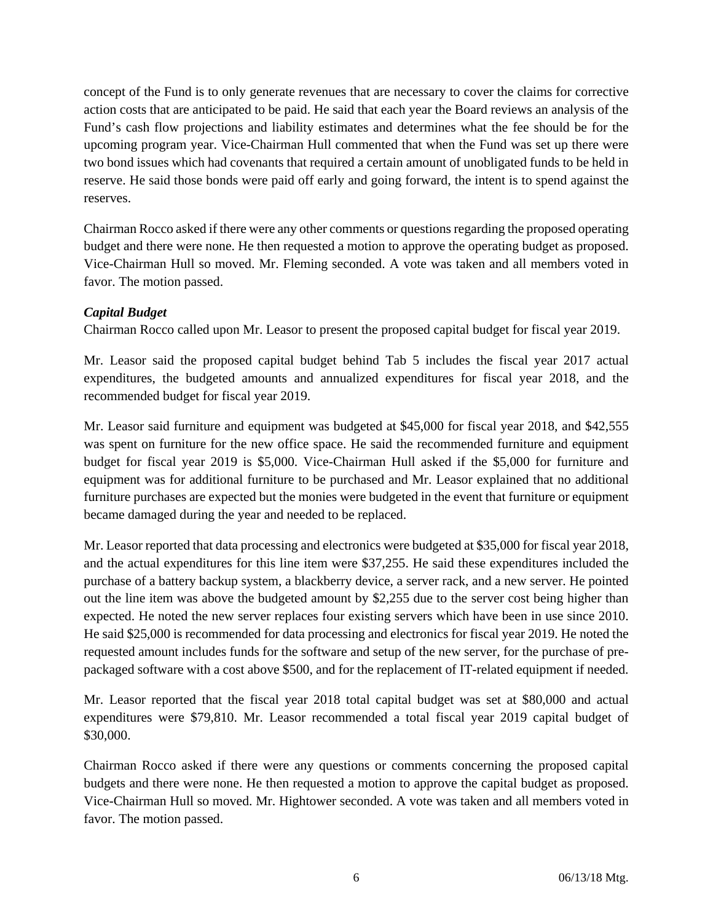concept of the Fund is to only generate revenues that are necessary to cover the claims for corrective action costs that are anticipated to be paid. He said that each year the Board reviews an analysis of the Fund's cash flow projections and liability estimates and determines what the fee should be for the upcoming program year. Vice-Chairman Hull commented that when the Fund was set up there were two bond issues which had covenants that required a certain amount of unobligated funds to be held in reserve. He said those bonds were paid off early and going forward, the intent is to spend against the reserves.

Chairman Rocco asked if there were any other comments or questions regarding the proposed operating budget and there were none. He then requested a motion to approve the operating budget as proposed. Vice-Chairman Hull so moved. Mr. Fleming seconded. A vote was taken and all members voted in favor. The motion passed.

## *Capital Budget*

Chairman Rocco called upon Mr. Leasor to present the proposed capital budget for fiscal year 2019.

Mr. Leasor said the proposed capital budget behind Tab 5 includes the fiscal year 2017 actual expenditures, the budgeted amounts and annualized expenditures for fiscal year 2018, and the recommended budget for fiscal year 2019.

Mr. Leasor said furniture and equipment was budgeted at \$45,000 for fiscal year 2018, and \$42,555 was spent on furniture for the new office space. He said the recommended furniture and equipment budget for fiscal year 2019 is \$5,000. Vice-Chairman Hull asked if the \$5,000 for furniture and equipment was for additional furniture to be purchased and Mr. Leasor explained that no additional furniture purchases are expected but the monies were budgeted in the event that furniture or equipment became damaged during the year and needed to be replaced.

Mr. Leasor reported that data processing and electronics were budgeted at \$35,000 for fiscal year 2018, and the actual expenditures for this line item were \$37,255. He said these expenditures included the purchase of a battery backup system, a blackberry device, a server rack, and a new server. He pointed out the line item was above the budgeted amount by \$2,255 due to the server cost being higher than expected. He noted the new server replaces four existing servers which have been in use since 2010. He said \$25,000 is recommended for data processing and electronics for fiscal year 2019. He noted the requested amount includes funds for the software and setup of the new server, for the purchase of prepackaged software with a cost above \$500, and for the replacement of IT-related equipment if needed.

Mr. Leasor reported that the fiscal year 2018 total capital budget was set at \$80,000 and actual expenditures were \$79,810. Mr. Leasor recommended a total fiscal year 2019 capital budget of \$30,000.

Chairman Rocco asked if there were any questions or comments concerning the proposed capital budgets and there were none. He then requested a motion to approve the capital budget as proposed. Vice-Chairman Hull so moved. Mr. Hightower seconded. A vote was taken and all members voted in favor. The motion passed.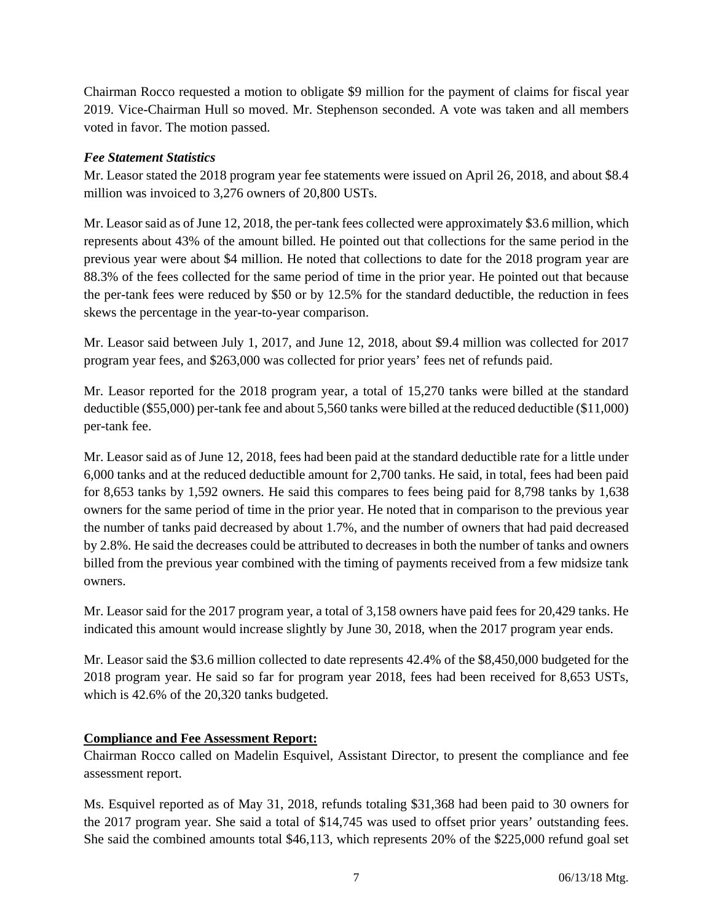Chairman Rocco requested a motion to obligate \$9 million for the payment of claims for fiscal year 2019. Vice-Chairman Hull so moved. Mr. Stephenson seconded. A vote was taken and all members voted in favor. The motion passed.

#### *Fee Statement Statistics*

Mr. Leasor stated the 2018 program year fee statements were issued on April 26, 2018, and about \$8.4 million was invoiced to 3,276 owners of 20,800 USTs.

Mr. Leasor said as of June 12, 2018, the per-tank fees collected were approximately \$3.6 million, which represents about 43% of the amount billed. He pointed out that collections for the same period in the previous year were about \$4 million. He noted that collections to date for the 2018 program year are 88.3% of the fees collected for the same period of time in the prior year. He pointed out that because the per-tank fees were reduced by \$50 or by 12.5% for the standard deductible, the reduction in fees skews the percentage in the year-to-year comparison.

Mr. Leasor said between July 1, 2017, and June 12, 2018, about \$9.4 million was collected for 2017 program year fees, and \$263,000 was collected for prior years' fees net of refunds paid.

Mr. Leasor reported for the 2018 program year, a total of 15,270 tanks were billed at the standard deductible (\$55,000) per-tank fee and about 5,560 tanks were billed at the reduced deductible (\$11,000) per-tank fee.

Mr. Leasor said as of June 12, 2018, fees had been paid at the standard deductible rate for a little under 6,000 tanks and at the reduced deductible amount for 2,700 tanks. He said, in total, fees had been paid for 8,653 tanks by 1,592 owners. He said this compares to fees being paid for 8,798 tanks by 1,638 owners for the same period of time in the prior year. He noted that in comparison to the previous year the number of tanks paid decreased by about 1.7%, and the number of owners that had paid decreased by 2.8%. He said the decreases could be attributed to decreases in both the number of tanks and owners billed from the previous year combined with the timing of payments received from a few midsize tank owners.

Mr. Leasor said for the 2017 program year, a total of 3,158 owners have paid fees for 20,429 tanks. He indicated this amount would increase slightly by June 30, 2018, when the 2017 program year ends.

Mr. Leasor said the \$3.6 million collected to date represents 42.4% of the \$8,450,000 budgeted for the 2018 program year. He said so far for program year 2018, fees had been received for 8,653 USTs, which is 42.6% of the 20,320 tanks budgeted.

#### **Compliance and Fee Assessment Report:**

Chairman Rocco called on Madelin Esquivel, Assistant Director, to present the compliance and fee assessment report.

Ms. Esquivel reported as of May 31, 2018, refunds totaling \$31,368 had been paid to 30 owners for the 2017 program year. She said a total of \$14,745 was used to offset prior years' outstanding fees. She said the combined amounts total \$46,113, which represents 20% of the \$225,000 refund goal set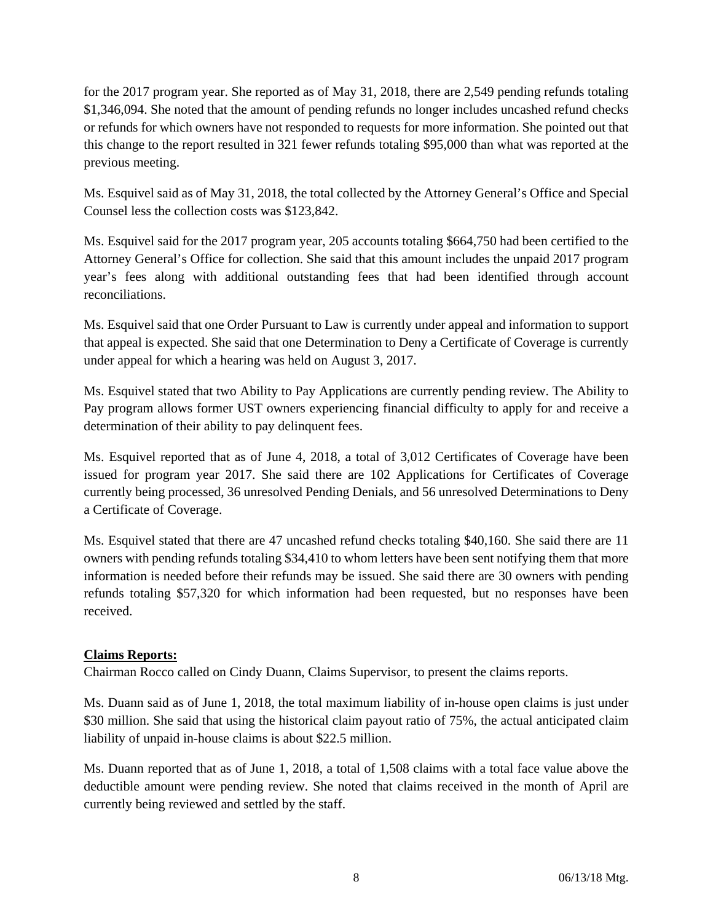for the 2017 program year. She reported as of May 31, 2018, there are 2,549 pending refunds totaling \$1,346,094. She noted that the amount of pending refunds no longer includes uncashed refund checks or refunds for which owners have not responded to requests for more information. She pointed out that this change to the report resulted in 321 fewer refunds totaling \$95,000 than what was reported at the previous meeting.

Ms. Esquivel said as of May 31, 2018, the total collected by the Attorney General's Office and Special Counsel less the collection costs was \$123,842.

Ms. Esquivel said for the 2017 program year, 205 accounts totaling \$664,750 had been certified to the Attorney General's Office for collection. She said that this amount includes the unpaid 2017 program year's fees along with additional outstanding fees that had been identified through account reconciliations.

Ms. Esquivel said that one Order Pursuant to Law is currently under appeal and information to support that appeal is expected. She said that one Determination to Deny a Certificate of Coverage is currently under appeal for which a hearing was held on August 3, 2017.

Ms. Esquivel stated that two Ability to Pay Applications are currently pending review. The Ability to Pay program allows former UST owners experiencing financial difficulty to apply for and receive a determination of their ability to pay delinquent fees.

Ms. Esquivel reported that as of June 4, 2018, a total of 3,012 Certificates of Coverage have been issued for program year 2017. She said there are 102 Applications for Certificates of Coverage currently being processed, 36 unresolved Pending Denials, and 56 unresolved Determinations to Deny a Certificate of Coverage.

Ms. Esquivel stated that there are 47 uncashed refund checks totaling \$40,160. She said there are 11 owners with pending refunds totaling \$34,410 to whom letters have been sent notifying them that more information is needed before their refunds may be issued. She said there are 30 owners with pending refunds totaling \$57,320 for which information had been requested, but no responses have been received.

## **Claims Reports:**

Chairman Rocco called on Cindy Duann, Claims Supervisor, to present the claims reports.

Ms. Duann said as of June 1, 2018, the total maximum liability of in-house open claims is just under \$30 million. She said that using the historical claim payout ratio of 75%, the actual anticipated claim liability of unpaid in-house claims is about \$22.5 million.

Ms. Duann reported that as of June 1, 2018, a total of 1,508 claims with a total face value above the deductible amount were pending review. She noted that claims received in the month of April are currently being reviewed and settled by the staff.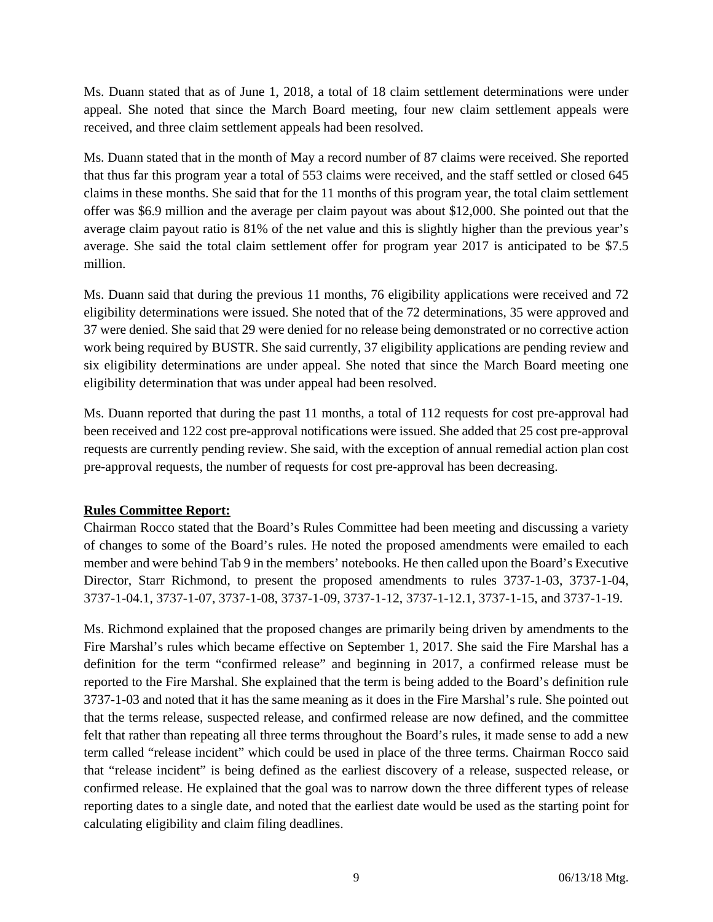Ms. Duann stated that as of June 1, 2018, a total of 18 claim settlement determinations were under appeal. She noted that since the March Board meeting, four new claim settlement appeals were received, and three claim settlement appeals had been resolved.

Ms. Duann stated that in the month of May a record number of 87 claims were received. She reported that thus far this program year a total of 553 claims were received, and the staff settled or closed 645 claims in these months. She said that for the 11 months of this program year, the total claim settlement offer was \$6.9 million and the average per claim payout was about \$12,000. She pointed out that the average claim payout ratio is 81% of the net value and this is slightly higher than the previous year's average. She said the total claim settlement offer for program year 2017 is anticipated to be \$7.5 million.

Ms. Duann said that during the previous 11 months, 76 eligibility applications were received and 72 eligibility determinations were issued. She noted that of the 72 determinations, 35 were approved and 37 were denied. She said that 29 were denied for no release being demonstrated or no corrective action work being required by BUSTR. She said currently, 37 eligibility applications are pending review and six eligibility determinations are under appeal. She noted that since the March Board meeting one eligibility determination that was under appeal had been resolved.

Ms. Duann reported that during the past 11 months, a total of 112 requests for cost pre-approval had been received and 122 cost pre-approval notifications were issued. She added that 25 cost pre-approval requests are currently pending review. She said, with the exception of annual remedial action plan cost pre-approval requests, the number of requests for cost pre-approval has been decreasing.

## **Rules Committee Report:**

Chairman Rocco stated that the Board's Rules Committee had been meeting and discussing a variety of changes to some of the Board's rules. He noted the proposed amendments were emailed to each member and were behind Tab 9 in the members' notebooks. He then called upon the Board's Executive Director, Starr Richmond, to present the proposed amendments to rules 3737-1-03, 3737-1-04, 3737-1-04.1, 3737-1-07, 3737-1-08, 3737-1-09, 3737-1-12, 3737-1-12.1, 3737-1-15, and 3737-1-19.

Ms. Richmond explained that the proposed changes are primarily being driven by amendments to the Fire Marshal's rules which became effective on September 1, 2017. She said the Fire Marshal has a definition for the term "confirmed release" and beginning in 2017, a confirmed release must be reported to the Fire Marshal. She explained that the term is being added to the Board's definition rule 3737-1-03 and noted that it has the same meaning as it does in the Fire Marshal's rule. She pointed out that the terms release, suspected release, and confirmed release are now defined, and the committee felt that rather than repeating all three terms throughout the Board's rules, it made sense to add a new term called "release incident" which could be used in place of the three terms. Chairman Rocco said that "release incident" is being defined as the earliest discovery of a release, suspected release, or confirmed release. He explained that the goal was to narrow down the three different types of release reporting dates to a single date, and noted that the earliest date would be used as the starting point for calculating eligibility and claim filing deadlines.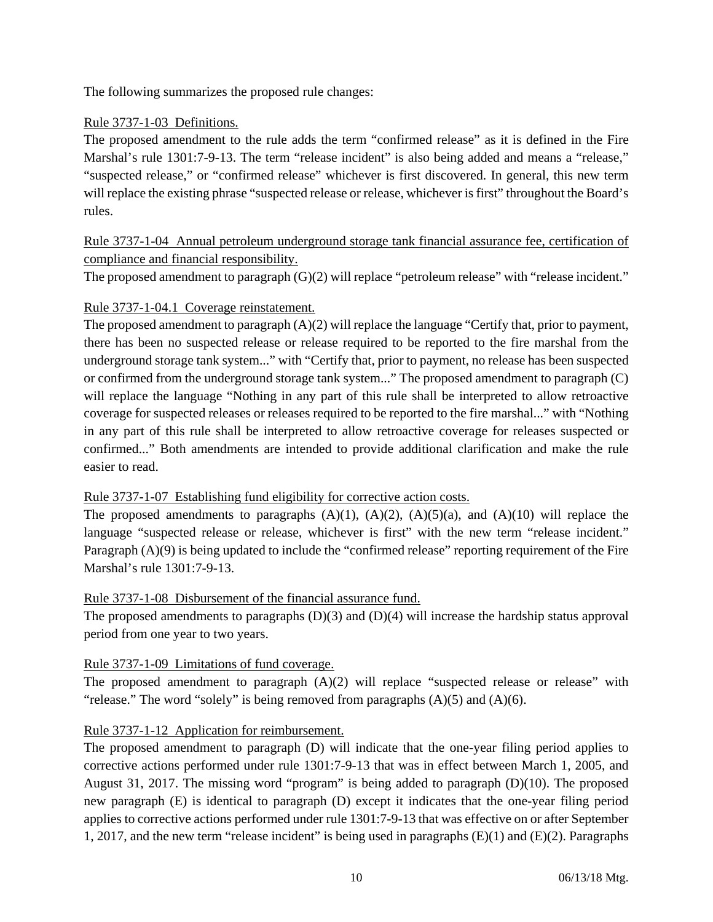The following summarizes the proposed rule changes:

## Rule 3737-1-03 Definitions.

The proposed amendment to the rule adds the term "confirmed release" as it is defined in the Fire Marshal's rule 1301:7-9-13. The term "release incident" is also being added and means a "release," "suspected release," or "confirmed release" whichever is first discovered. In general, this new term will replace the existing phrase "suspected release or release, whichever is first" throughout the Board's rules.

# Rule 3737-1-04 Annual petroleum underground storage tank financial assurance fee, certification of compliance and financial responsibility.

The proposed amendment to paragraph (G)(2) will replace "petroleum release" with "release incident."

## Rule 3737-1-04.1 Coverage reinstatement.

The proposed amendment to paragraph  $(A)(2)$  will replace the language "Certify that, prior to payment, there has been no suspected release or release required to be reported to the fire marshal from the underground storage tank system..." with "Certify that, prior to payment, no release has been suspected or confirmed from the underground storage tank system..." The proposed amendment to paragraph (C) will replace the language "Nothing in any part of this rule shall be interpreted to allow retroactive coverage for suspected releases or releases required to be reported to the fire marshal..." with "Nothing in any part of this rule shall be interpreted to allow retroactive coverage for releases suspected or confirmed..." Both amendments are intended to provide additional clarification and make the rule easier to read.

#### Rule 3737-1-07 Establishing fund eligibility for corrective action costs.

The proposed amendments to paragraphs  $(A)(1)$ ,  $(A)(2)$ ,  $(A)(5)(a)$ , and  $(A)(10)$  will replace the language "suspected release or release, whichever is first" with the new term "release incident." Paragraph (A)(9) is being updated to include the "confirmed release" reporting requirement of the Fire Marshal's rule 1301:7-9-13.

#### Rule 3737-1-08 Disbursement of the financial assurance fund.

The proposed amendments to paragraphs  $(D)(3)$  and  $(D)(4)$  will increase the hardship status approval period from one year to two years.

## Rule 3737-1-09 Limitations of fund coverage.

The proposed amendment to paragraph  $(A)(2)$  will replace "suspected release or release" with "release." The word "solely" is being removed from paragraphs  $(A)(5)$  and  $(A)(6)$ .

## Rule 3737-1-12 Application for reimbursement.

The proposed amendment to paragraph (D) will indicate that the one-year filing period applies to corrective actions performed under rule 1301:7-9-13 that was in effect between March 1, 2005, and August 31, 2017. The missing word "program" is being added to paragraph  $(D)(10)$ . The proposed new paragraph (E) is identical to paragraph (D) except it indicates that the one-year filing period applies to corrective actions performed under rule 1301:7-9-13 that was effective on or after September 1, 2017, and the new term "release incident" is being used in paragraphs (E)(1) and (E)(2). Paragraphs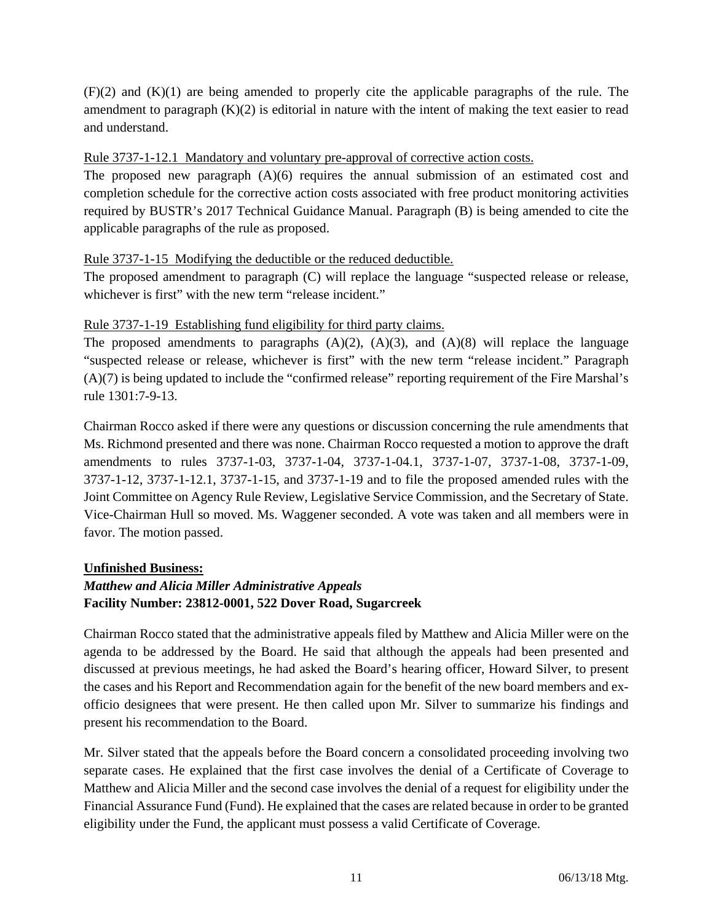$(F)(2)$  and  $(K)(1)$  are being amended to properly cite the applicable paragraphs of the rule. The amendment to paragraph  $(K)(2)$  is editorial in nature with the intent of making the text easier to read and understand.

#### Rule 3737-1-12.1 Mandatory and voluntary pre-approval of corrective action costs.

The proposed new paragraph  $(A)(6)$  requires the annual submission of an estimated cost and completion schedule for the corrective action costs associated with free product monitoring activities required by BUSTR's 2017 Technical Guidance Manual. Paragraph (B) is being amended to cite the applicable paragraphs of the rule as proposed.

## Rule 3737-1-15 Modifying the deductible or the reduced deductible.

The proposed amendment to paragraph (C) will replace the language "suspected release or release, whichever is first" with the new term "release incident."

## Rule 3737-1-19 Establishing fund eligibility for third party claims.

The proposed amendments to paragraphs  $(A)(2)$ ,  $(A)(3)$ , and  $(A)(8)$  will replace the language "suspected release or release, whichever is first" with the new term "release incident." Paragraph (A)(7) is being updated to include the "confirmed release" reporting requirement of the Fire Marshal's rule 1301:7-9-13.

Chairman Rocco asked if there were any questions or discussion concerning the rule amendments that Ms. Richmond presented and there was none. Chairman Rocco requested a motion to approve the draft amendments to rules 3737-1-03, 3737-1-04, 3737-1-04.1, 3737-1-07, 3737-1-08, 3737-1-09, 3737-1-12, 3737-1-12.1, 3737-1-15, and 3737-1-19 and to file the proposed amended rules with the Joint Committee on Agency Rule Review, Legislative Service Commission, and the Secretary of State. Vice-Chairman Hull so moved. Ms. Waggener seconded. A vote was taken and all members were in favor. The motion passed.

#### **Unfinished Business:**

# *Matthew and Alicia Miller Administrative Appeals*  **Facility Number: 23812-0001, 522 Dover Road, Sugarcreek**

Chairman Rocco stated that the administrative appeals filed by Matthew and Alicia Miller were on the agenda to be addressed by the Board. He said that although the appeals had been presented and discussed at previous meetings, he had asked the Board's hearing officer, Howard Silver, to present the cases and his Report and Recommendation again for the benefit of the new board members and exofficio designees that were present. He then called upon Mr. Silver to summarize his findings and present his recommendation to the Board.

Mr. Silver stated that the appeals before the Board concern a consolidated proceeding involving two separate cases. He explained that the first case involves the denial of a Certificate of Coverage to Matthew and Alicia Miller and the second case involves the denial of a request for eligibility under the Financial Assurance Fund (Fund). He explained that the cases are related because in order to be granted eligibility under the Fund, the applicant must possess a valid Certificate of Coverage.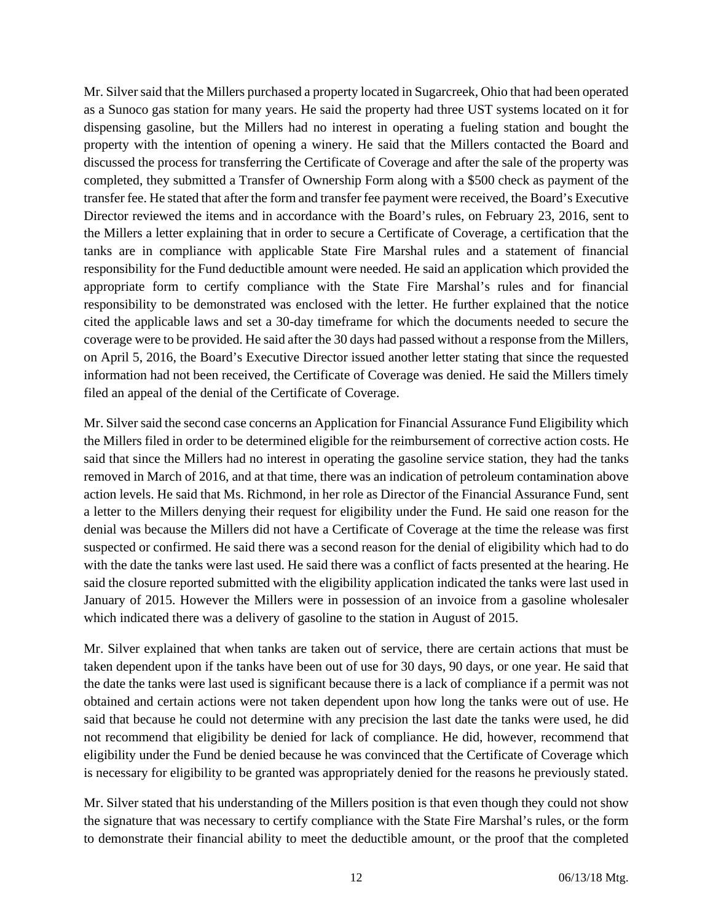Mr. Silver said that the Millers purchased a property located in Sugarcreek, Ohio that had been operated as a Sunoco gas station for many years. He said the property had three UST systems located on it for dispensing gasoline, but the Millers had no interest in operating a fueling station and bought the property with the intention of opening a winery. He said that the Millers contacted the Board and discussed the process for transferring the Certificate of Coverage and after the sale of the property was completed, they submitted a Transfer of Ownership Form along with a \$500 check as payment of the transfer fee. He stated that after the form and transfer fee payment were received, the Board's Executive Director reviewed the items and in accordance with the Board's rules, on February 23, 2016, sent to the Millers a letter explaining that in order to secure a Certificate of Coverage, a certification that the tanks are in compliance with applicable State Fire Marshal rules and a statement of financial responsibility for the Fund deductible amount were needed. He said an application which provided the appropriate form to certify compliance with the State Fire Marshal's rules and for financial responsibility to be demonstrated was enclosed with the letter. He further explained that the notice cited the applicable laws and set a 30-day timeframe for which the documents needed to secure the coverage were to be provided. He said after the 30 days had passed without a response from the Millers, on April 5, 2016, the Board's Executive Director issued another letter stating that since the requested information had not been received, the Certificate of Coverage was denied. He said the Millers timely filed an appeal of the denial of the Certificate of Coverage.

Mr. Silver said the second case concerns an Application for Financial Assurance Fund Eligibility which the Millers filed in order to be determined eligible for the reimbursement of corrective action costs. He said that since the Millers had no interest in operating the gasoline service station, they had the tanks removed in March of 2016, and at that time, there was an indication of petroleum contamination above action levels. He said that Ms. Richmond, in her role as Director of the Financial Assurance Fund, sent a letter to the Millers denying their request for eligibility under the Fund. He said one reason for the denial was because the Millers did not have a Certificate of Coverage at the time the release was first suspected or confirmed. He said there was a second reason for the denial of eligibility which had to do with the date the tanks were last used. He said there was a conflict of facts presented at the hearing. He said the closure reported submitted with the eligibility application indicated the tanks were last used in January of 2015. However the Millers were in possession of an invoice from a gasoline wholesaler which indicated there was a delivery of gasoline to the station in August of 2015.

Mr. Silver explained that when tanks are taken out of service, there are certain actions that must be taken dependent upon if the tanks have been out of use for 30 days, 90 days, or one year. He said that the date the tanks were last used is significant because there is a lack of compliance if a permit was not obtained and certain actions were not taken dependent upon how long the tanks were out of use. He said that because he could not determine with any precision the last date the tanks were used, he did not recommend that eligibility be denied for lack of compliance. He did, however, recommend that eligibility under the Fund be denied because he was convinced that the Certificate of Coverage which is necessary for eligibility to be granted was appropriately denied for the reasons he previously stated.

Mr. Silver stated that his understanding of the Millers position is that even though they could not show the signature that was necessary to certify compliance with the State Fire Marshal's rules, or the form to demonstrate their financial ability to meet the deductible amount, or the proof that the completed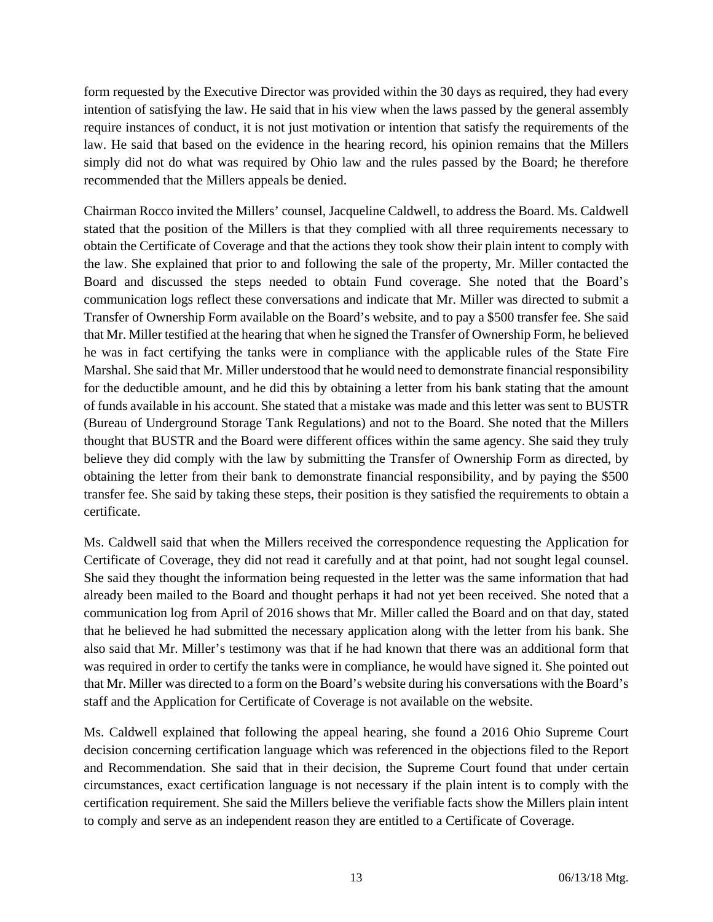form requested by the Executive Director was provided within the 30 days as required, they had every intention of satisfying the law. He said that in his view when the laws passed by the general assembly require instances of conduct, it is not just motivation or intention that satisfy the requirements of the law. He said that based on the evidence in the hearing record, his opinion remains that the Millers simply did not do what was required by Ohio law and the rules passed by the Board; he therefore recommended that the Millers appeals be denied.

Chairman Rocco invited the Millers' counsel, Jacqueline Caldwell, to address the Board. Ms. Caldwell stated that the position of the Millers is that they complied with all three requirements necessary to obtain the Certificate of Coverage and that the actions they took show their plain intent to comply with the law. She explained that prior to and following the sale of the property, Mr. Miller contacted the Board and discussed the steps needed to obtain Fund coverage. She noted that the Board's communication logs reflect these conversations and indicate that Mr. Miller was directed to submit a Transfer of Ownership Form available on the Board's website, and to pay a \$500 transfer fee. She said that Mr. Miller testified at the hearing that when he signed the Transfer of Ownership Form, he believed he was in fact certifying the tanks were in compliance with the applicable rules of the State Fire Marshal. She said that Mr. Miller understood that he would need to demonstrate financial responsibility for the deductible amount, and he did this by obtaining a letter from his bank stating that the amount of funds available in his account. She stated that a mistake was made and this letter was sent to BUSTR (Bureau of Underground Storage Tank Regulations) and not to the Board. She noted that the Millers thought that BUSTR and the Board were different offices within the same agency. She said they truly believe they did comply with the law by submitting the Transfer of Ownership Form as directed, by obtaining the letter from their bank to demonstrate financial responsibility, and by paying the \$500 transfer fee. She said by taking these steps, their position is they satisfied the requirements to obtain a certificate.

Ms. Caldwell said that when the Millers received the correspondence requesting the Application for Certificate of Coverage, they did not read it carefully and at that point, had not sought legal counsel. She said they thought the information being requested in the letter was the same information that had already been mailed to the Board and thought perhaps it had not yet been received. She noted that a communication log from April of 2016 shows that Mr. Miller called the Board and on that day, stated that he believed he had submitted the necessary application along with the letter from his bank. She also said that Mr. Miller's testimony was that if he had known that there was an additional form that was required in order to certify the tanks were in compliance, he would have signed it. She pointed out that Mr. Miller was directed to a form on the Board's website during his conversations with the Board's staff and the Application for Certificate of Coverage is not available on the website.

Ms. Caldwell explained that following the appeal hearing, she found a 2016 Ohio Supreme Court decision concerning certification language which was referenced in the objections filed to the Report and Recommendation. She said that in their decision, the Supreme Court found that under certain circumstances, exact certification language is not necessary if the plain intent is to comply with the certification requirement. She said the Millers believe the verifiable facts show the Millers plain intent to comply and serve as an independent reason they are entitled to a Certificate of Coverage.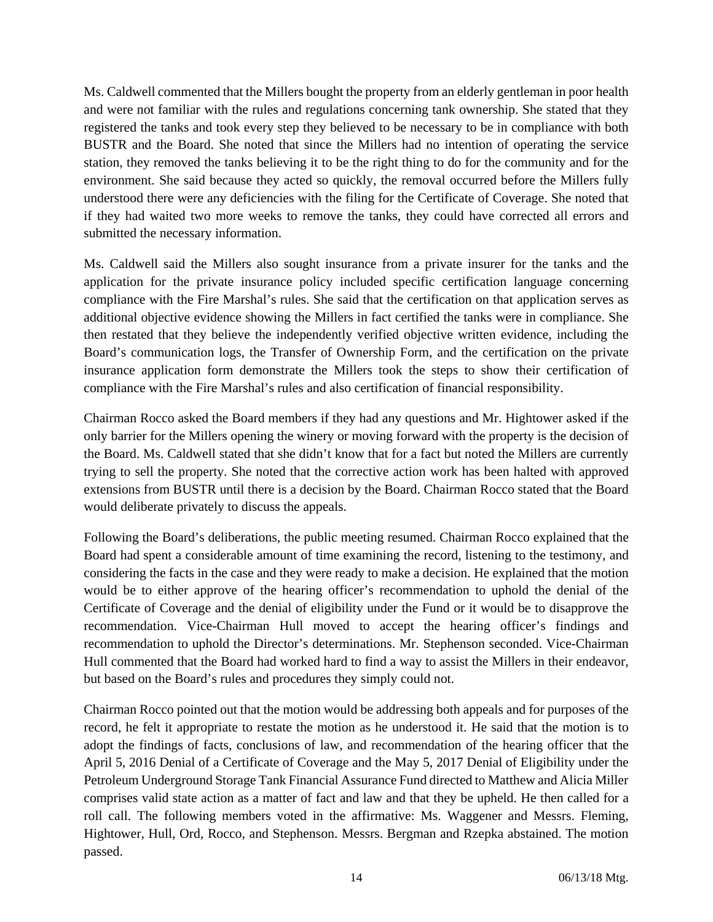Ms. Caldwell commented that the Millers bought the property from an elderly gentleman in poor health and were not familiar with the rules and regulations concerning tank ownership. She stated that they registered the tanks and took every step they believed to be necessary to be in compliance with both BUSTR and the Board. She noted that since the Millers had no intention of operating the service station, they removed the tanks believing it to be the right thing to do for the community and for the environment. She said because they acted so quickly, the removal occurred before the Millers fully understood there were any deficiencies with the filing for the Certificate of Coverage. She noted that if they had waited two more weeks to remove the tanks, they could have corrected all errors and submitted the necessary information.

Ms. Caldwell said the Millers also sought insurance from a private insurer for the tanks and the application for the private insurance policy included specific certification language concerning compliance with the Fire Marshal's rules. She said that the certification on that application serves as additional objective evidence showing the Millers in fact certified the tanks were in compliance. She then restated that they believe the independently verified objective written evidence, including the Board's communication logs, the Transfer of Ownership Form, and the certification on the private insurance application form demonstrate the Millers took the steps to show their certification of compliance with the Fire Marshal's rules and also certification of financial responsibility.

Chairman Rocco asked the Board members if they had any questions and Mr. Hightower asked if the only barrier for the Millers opening the winery or moving forward with the property is the decision of the Board. Ms. Caldwell stated that she didn't know that for a fact but noted the Millers are currently trying to sell the property. She noted that the corrective action work has been halted with approved extensions from BUSTR until there is a decision by the Board. Chairman Rocco stated that the Board would deliberate privately to discuss the appeals.

Following the Board's deliberations, the public meeting resumed. Chairman Rocco explained that the Board had spent a considerable amount of time examining the record, listening to the testimony, and considering the facts in the case and they were ready to make a decision. He explained that the motion would be to either approve of the hearing officer's recommendation to uphold the denial of the Certificate of Coverage and the denial of eligibility under the Fund or it would be to disapprove the recommendation. Vice-Chairman Hull moved to accept the hearing officer's findings and recommendation to uphold the Director's determinations. Mr. Stephenson seconded. Vice-Chairman Hull commented that the Board had worked hard to find a way to assist the Millers in their endeavor, but based on the Board's rules and procedures they simply could not.

Chairman Rocco pointed out that the motion would be addressing both appeals and for purposes of the record, he felt it appropriate to restate the motion as he understood it. He said that the motion is to adopt the findings of facts, conclusions of law, and recommendation of the hearing officer that the April 5, 2016 Denial of a Certificate of Coverage and the May 5, 2017 Denial of Eligibility under the Petroleum Underground Storage Tank Financial Assurance Fund directed to Matthew and Alicia Miller comprises valid state action as a matter of fact and law and that they be upheld. He then called for a roll call. The following members voted in the affirmative: Ms. Waggener and Messrs. Fleming, Hightower, Hull, Ord, Rocco, and Stephenson. Messrs. Bergman and Rzepka abstained. The motion passed.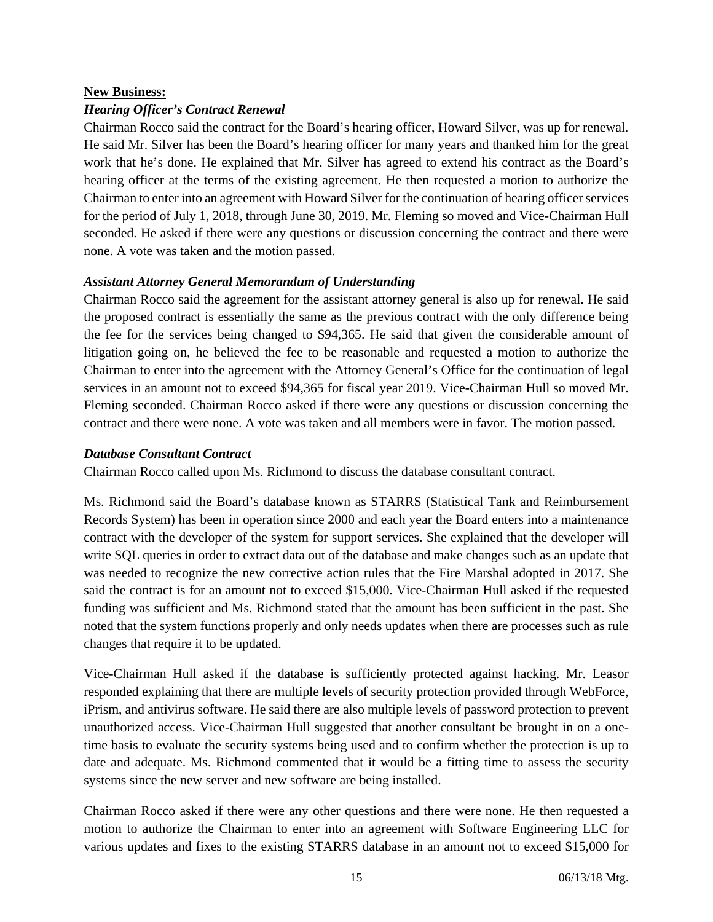#### **New Business:**

#### *Hearing Officer's Contract Renewal*

Chairman Rocco said the contract for the Board's hearing officer, Howard Silver, was up for renewal. He said Mr. Silver has been the Board's hearing officer for many years and thanked him for the great work that he's done. He explained that Mr. Silver has agreed to extend his contract as the Board's hearing officer at the terms of the existing agreement. He then requested a motion to authorize the Chairman to enter into an agreement with Howard Silver for the continuation of hearing officer services for the period of July 1, 2018, through June 30, 2019. Mr. Fleming so moved and Vice-Chairman Hull seconded. He asked if there were any questions or discussion concerning the contract and there were none. A vote was taken and the motion passed.

#### *Assistant Attorney General Memorandum of Understanding*

Chairman Rocco said the agreement for the assistant attorney general is also up for renewal. He said the proposed contract is essentially the same as the previous contract with the only difference being the fee for the services being changed to \$94,365. He said that given the considerable amount of litigation going on, he believed the fee to be reasonable and requested a motion to authorize the Chairman to enter into the agreement with the Attorney General's Office for the continuation of legal services in an amount not to exceed \$94,365 for fiscal year 2019. Vice-Chairman Hull so moved Mr. Fleming seconded. Chairman Rocco asked if there were any questions or discussion concerning the contract and there were none. A vote was taken and all members were in favor. The motion passed.

#### *Database Consultant Contract*

Chairman Rocco called upon Ms. Richmond to discuss the database consultant contract.

Ms. Richmond said the Board's database known as STARRS (Statistical Tank and Reimbursement Records System) has been in operation since 2000 and each year the Board enters into a maintenance contract with the developer of the system for support services. She explained that the developer will write SQL queries in order to extract data out of the database and make changes such as an update that was needed to recognize the new corrective action rules that the Fire Marshal adopted in 2017. She said the contract is for an amount not to exceed \$15,000. Vice-Chairman Hull asked if the requested funding was sufficient and Ms. Richmond stated that the amount has been sufficient in the past. She noted that the system functions properly and only needs updates when there are processes such as rule changes that require it to be updated.

Vice-Chairman Hull asked if the database is sufficiently protected against hacking. Mr. Leasor responded explaining that there are multiple levels of security protection provided through WebForce, iPrism, and antivirus software. He said there are also multiple levels of password protection to prevent unauthorized access. Vice-Chairman Hull suggested that another consultant be brought in on a onetime basis to evaluate the security systems being used and to confirm whether the protection is up to date and adequate. Ms. Richmond commented that it would be a fitting time to assess the security systems since the new server and new software are being installed.

Chairman Rocco asked if there were any other questions and there were none. He then requested a motion to authorize the Chairman to enter into an agreement with Software Engineering LLC for various updates and fixes to the existing STARRS database in an amount not to exceed \$15,000 for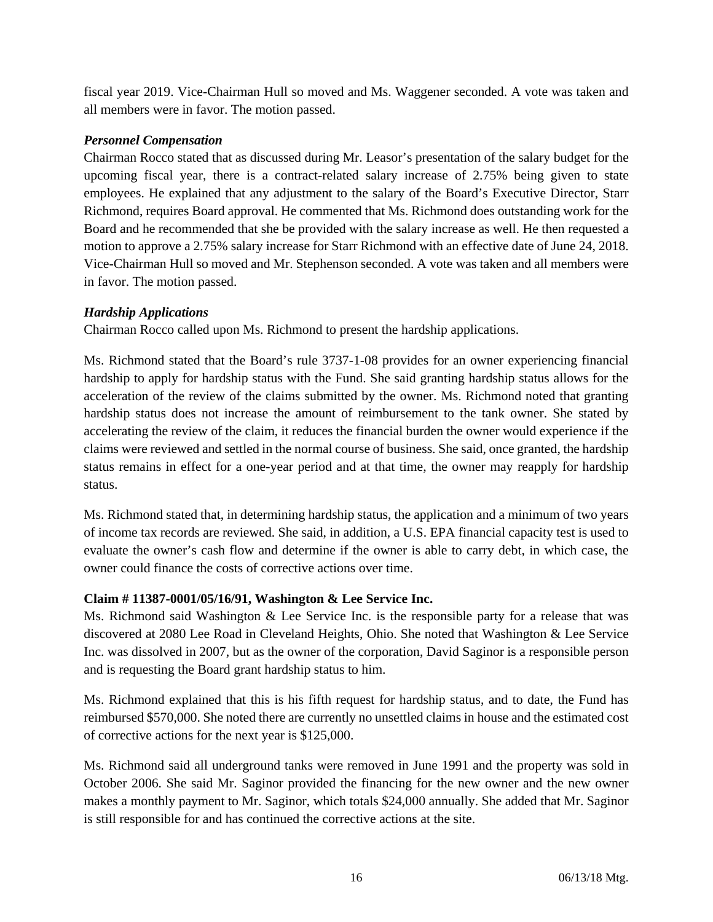fiscal year 2019. Vice-Chairman Hull so moved and Ms. Waggener seconded. A vote was taken and all members were in favor. The motion passed.

## *Personnel Compensation*

Chairman Rocco stated that as discussed during Mr. Leasor's presentation of the salary budget for the upcoming fiscal year, there is a contract-related salary increase of 2.75% being given to state employees. He explained that any adjustment to the salary of the Board's Executive Director, Starr Richmond, requires Board approval. He commented that Ms. Richmond does outstanding work for the Board and he recommended that she be provided with the salary increase as well. He then requested a motion to approve a 2.75% salary increase for Starr Richmond with an effective date of June 24, 2018. Vice-Chairman Hull so moved and Mr. Stephenson seconded. A vote was taken and all members were in favor. The motion passed.

## *Hardship Applications*

Chairman Rocco called upon Ms. Richmond to present the hardship applications.

Ms. Richmond stated that the Board's rule 3737-1-08 provides for an owner experiencing financial hardship to apply for hardship status with the Fund. She said granting hardship status allows for the acceleration of the review of the claims submitted by the owner. Ms. Richmond noted that granting hardship status does not increase the amount of reimbursement to the tank owner. She stated by accelerating the review of the claim, it reduces the financial burden the owner would experience if the claims were reviewed and settled in the normal course of business. She said, once granted, the hardship status remains in effect for a one-year period and at that time, the owner may reapply for hardship status.

Ms. Richmond stated that, in determining hardship status, the application and a minimum of two years of income tax records are reviewed. She said, in addition, a U.S. EPA financial capacity test is used to evaluate the owner's cash flow and determine if the owner is able to carry debt, in which case, the owner could finance the costs of corrective actions over time.

## **Claim # 11387-0001/05/16/91, Washington & Lee Service Inc.**

Ms. Richmond said Washington & Lee Service Inc. is the responsible party for a release that was discovered at 2080 Lee Road in Cleveland Heights, Ohio. She noted that Washington & Lee Service Inc. was dissolved in 2007, but as the owner of the corporation, David Saginor is a responsible person and is requesting the Board grant hardship status to him.

Ms. Richmond explained that this is his fifth request for hardship status, and to date, the Fund has reimbursed \$570,000. She noted there are currently no unsettled claims in house and the estimated cost of corrective actions for the next year is \$125,000.

Ms. Richmond said all underground tanks were removed in June 1991 and the property was sold in October 2006. She said Mr. Saginor provided the financing for the new owner and the new owner makes a monthly payment to Mr. Saginor, which totals \$24,000 annually. She added that Mr. Saginor is still responsible for and has continued the corrective actions at the site.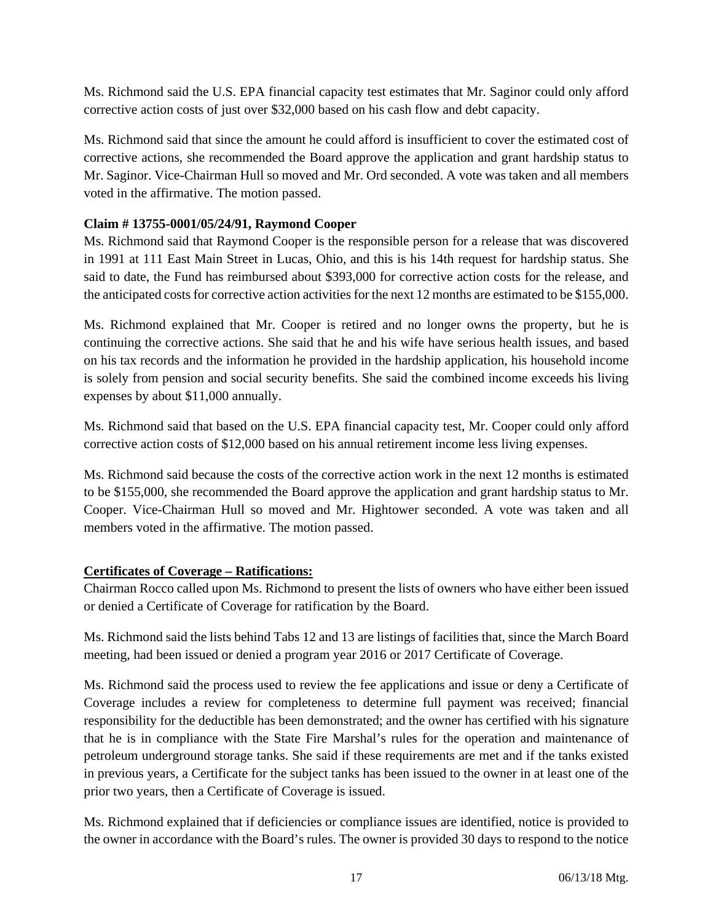Ms. Richmond said the U.S. EPA financial capacity test estimates that Mr. Saginor could only afford corrective action costs of just over \$32,000 based on his cash flow and debt capacity.

Ms. Richmond said that since the amount he could afford is insufficient to cover the estimated cost of corrective actions, she recommended the Board approve the application and grant hardship status to Mr. Saginor. Vice-Chairman Hull so moved and Mr. Ord seconded. A vote was taken and all members voted in the affirmative. The motion passed.

## **Claim # 13755-0001/05/24/91, Raymond Cooper**

Ms. Richmond said that Raymond Cooper is the responsible person for a release that was discovered in 1991 at 111 East Main Street in Lucas, Ohio, and this is his 14th request for hardship status. She said to date, the Fund has reimbursed about \$393,000 for corrective action costs for the release, and the anticipated costs for corrective action activities for the next 12 months are estimated to be \$155,000.

Ms. Richmond explained that Mr. Cooper is retired and no longer owns the property, but he is continuing the corrective actions. She said that he and his wife have serious health issues, and based on his tax records and the information he provided in the hardship application, his household income is solely from pension and social security benefits. She said the combined income exceeds his living expenses by about \$11,000 annually.

Ms. Richmond said that based on the U.S. EPA financial capacity test, Mr. Cooper could only afford corrective action costs of \$12,000 based on his annual retirement income less living expenses.

Ms. Richmond said because the costs of the corrective action work in the next 12 months is estimated to be \$155,000, she recommended the Board approve the application and grant hardship status to Mr. Cooper. Vice-Chairman Hull so moved and Mr. Hightower seconded. A vote was taken and all members voted in the affirmative. The motion passed.

## **Certificates of Coverage – Ratifications:**

Chairman Rocco called upon Ms. Richmond to present the lists of owners who have either been issued or denied a Certificate of Coverage for ratification by the Board.

Ms. Richmond said the lists behind Tabs 12 and 13 are listings of facilities that, since the March Board meeting, had been issued or denied a program year 2016 or 2017 Certificate of Coverage.

Ms. Richmond said the process used to review the fee applications and issue or deny a Certificate of Coverage includes a review for completeness to determine full payment was received; financial responsibility for the deductible has been demonstrated; and the owner has certified with his signature that he is in compliance with the State Fire Marshal's rules for the operation and maintenance of petroleum underground storage tanks. She said if these requirements are met and if the tanks existed in previous years, a Certificate for the subject tanks has been issued to the owner in at least one of the prior two years, then a Certificate of Coverage is issued.

Ms. Richmond explained that if deficiencies or compliance issues are identified, notice is provided to the owner in accordance with the Board's rules. The owner is provided 30 days to respond to the notice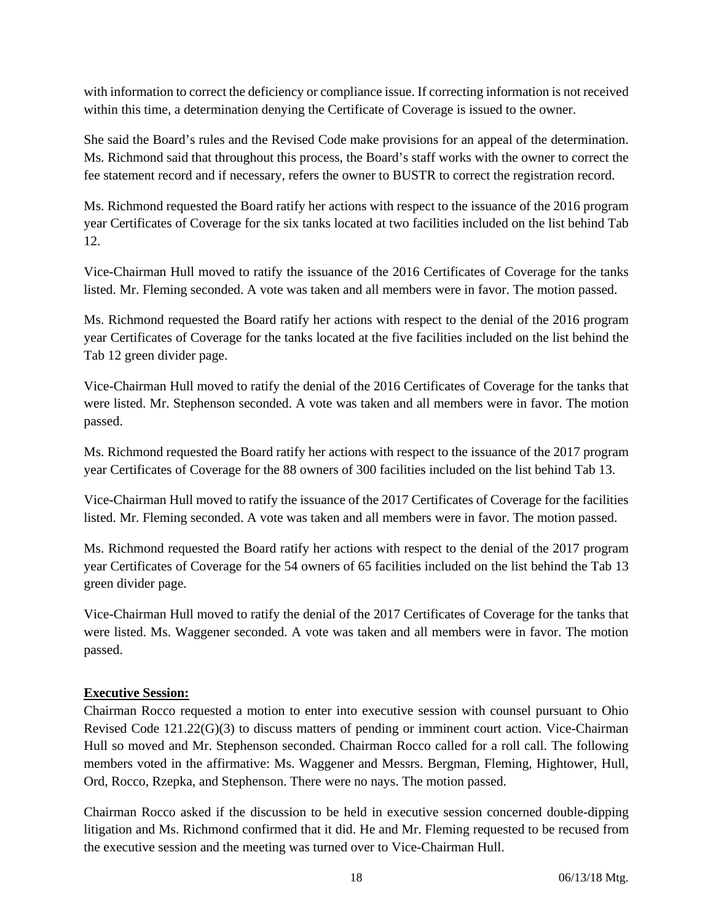with information to correct the deficiency or compliance issue. If correcting information is not received within this time, a determination denying the Certificate of Coverage is issued to the owner.

She said the Board's rules and the Revised Code make provisions for an appeal of the determination. Ms. Richmond said that throughout this process, the Board's staff works with the owner to correct the fee statement record and if necessary, refers the owner to BUSTR to correct the registration record.

Ms. Richmond requested the Board ratify her actions with respect to the issuance of the 2016 program year Certificates of Coverage for the six tanks located at two facilities included on the list behind Tab 12.

Vice-Chairman Hull moved to ratify the issuance of the 2016 Certificates of Coverage for the tanks listed. Mr. Fleming seconded. A vote was taken and all members were in favor. The motion passed.

Ms. Richmond requested the Board ratify her actions with respect to the denial of the 2016 program year Certificates of Coverage for the tanks located at the five facilities included on the list behind the Tab 12 green divider page.

Vice-Chairman Hull moved to ratify the denial of the 2016 Certificates of Coverage for the tanks that were listed. Mr. Stephenson seconded. A vote was taken and all members were in favor. The motion passed.

Ms. Richmond requested the Board ratify her actions with respect to the issuance of the 2017 program year Certificates of Coverage for the 88 owners of 300 facilities included on the list behind Tab 13.

Vice-Chairman Hull moved to ratify the issuance of the 2017 Certificates of Coverage for the facilities listed. Mr. Fleming seconded. A vote was taken and all members were in favor. The motion passed.

Ms. Richmond requested the Board ratify her actions with respect to the denial of the 2017 program year Certificates of Coverage for the 54 owners of 65 facilities included on the list behind the Tab 13 green divider page.

Vice-Chairman Hull moved to ratify the denial of the 2017 Certificates of Coverage for the tanks that were listed. Ms. Waggener seconded. A vote was taken and all members were in favor. The motion passed.

## **Executive Session:**

Chairman Rocco requested a motion to enter into executive session with counsel pursuant to Ohio Revised Code 121.22(G)(3) to discuss matters of pending or imminent court action. Vice-Chairman Hull so moved and Mr. Stephenson seconded. Chairman Rocco called for a roll call. The following members voted in the affirmative: Ms. Waggener and Messrs. Bergman, Fleming, Hightower, Hull, Ord, Rocco, Rzepka, and Stephenson. There were no nays. The motion passed.

Chairman Rocco asked if the discussion to be held in executive session concerned double-dipping litigation and Ms. Richmond confirmed that it did. He and Mr. Fleming requested to be recused from the executive session and the meeting was turned over to Vice-Chairman Hull.